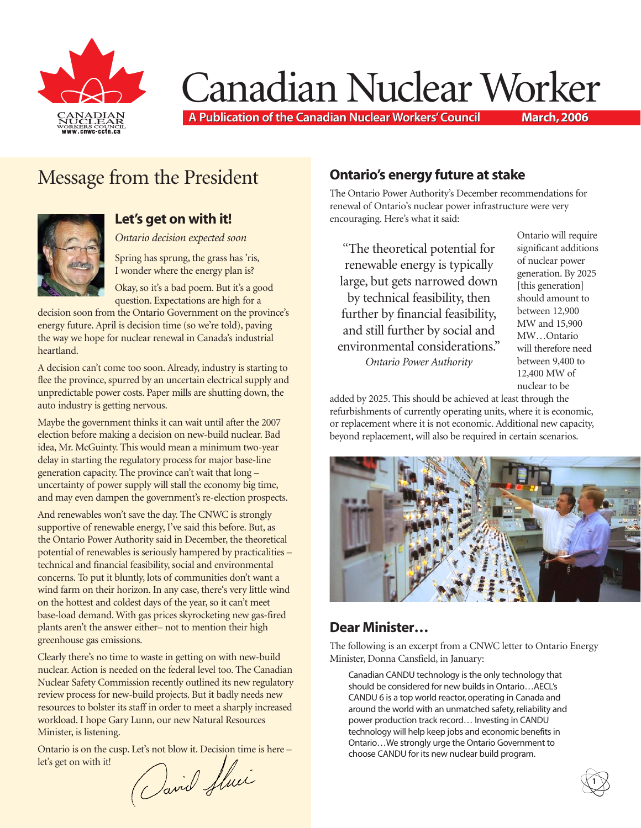

# Canadian Nuclear Worker

**A Publication of the Canadian Nuclear Workers' Council A Publication of the Canadian Nuclear Workers' Council March, 2006 March, 2006**

# Message from the President



#### **Let's get on with it!**

*Ontario decision expected soon*

Spring has sprung, the grass has 'ris, I wonder where the energy plan is?

Okay, so it's a bad poem. But it's a good question. Expectations are high for a

decision soon from the Ontario Government on the province's energy future. April is decision time (so we're told), paving the way we hope for nuclear renewal in Canada's industrial heartland.

A decision can't come too soon. Already, industry is starting to flee the province, spurred by an uncertain electrical supply and unpredictable power costs. Paper mills are shutting down, the auto industry is getting nervous.

Maybe the government thinks it can wait until after the 2007 election before making a decision on new-build nuclear. Bad idea, Mr. McGuinty. This would mean a minimum two-year delay in starting the regulatory process for major base-line generation capacity. The province can't wait that long – uncertainty of power supply will stall the economy big time, and may even dampen the government's re-election prospects.

And renewables won't save the day. The CNWC is strongly supportive of renewable energy, I've said this before. But, as the Ontario Power Authority said in December, the theoretical potential of renewables is seriously hampered by practicalities – technical and financial feasibility, social and environmental concerns. To put it bluntly, lots of communities don't want a wind farm on their horizon. In any case, there's very little wind on the hottest and coldest days of the year, so it can't meet base-load demand. With gas prices skyrocketing new gas-fired plants aren't the answer either– not to mention their high greenhouse gas emissions.

Clearly there's no time to waste in getting on with new-build nuclear. Action is needed on the federal level too. The Canadian Nuclear Safety Commission recently outlined its new regulatory review process for new-build projects. But it badly needs new resources to bolster its staff in order to meet a sharply increased workload. I hope Gary Lunn, our new Natural Resources Minister, is listening.

Ontario is on the cusp. Let's not blow it. Decision time is here –<br>let's get on with it!<br> $\int$  and Allel let's get on with it!

#### **Ontario's energy future at stake**

The Ontario Power Authority's December recommendations for renewal of Ontario's nuclear power infrastructure were very encouraging. Here's what it said:

"The theoretical potential for renewable energy is typically large, but gets narrowed down by technical feasibility, then further by financial feasibility, and still further by social and environmental considerations." *Ontario Power Authority*

Ontario will require significant additions of nuclear power generation. By 2025 [this generation] should amount to between 12,900 MW and 15,900 MW…Ontario will therefore need between 9,400 to 12,400 MW of nuclear to be

**1**

added by 2025. This should be achieved at least through the refurbishments of currently operating units, where it is economic, or replacement where it is not economic. Additional new capacity, beyond replacement, will also be required in certain scenarios.



#### **Dear Minister…**

The following is an excerpt from a CNWC letter to Ontario Energy Minister, Donna Cansfield, in January:

Canadian CANDU technology is the only technology that should be considered for new builds in Ontario…AECL's CANDU 6 is a top world reactor, operating in Canada and around the world with an unmatched safety, reliability and power production track record… Investing in CANDU technology will help keep jobs and economic benefits in Ontario…We strongly urge the Ontario Government to choose CANDU for its new nuclear build program.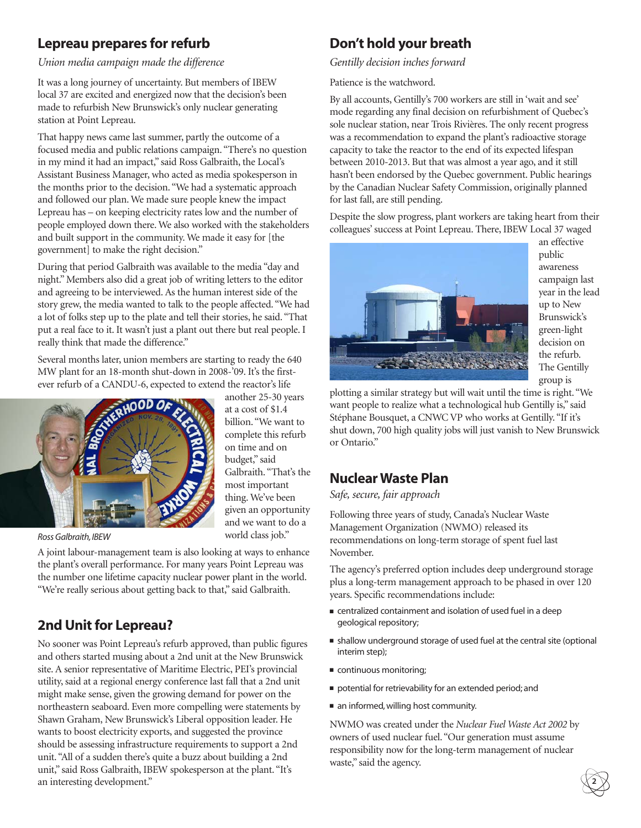#### **Lepreau prepares for refurb**

*Union media campaign made the difference*

It was a long journey of uncertainty. But members of IBEW local 37 are excited and energized now that the decision's been made to refurbish New Brunswick's only nuclear generating station at Point Lepreau.

That happy news came last summer, partly the outcome of a focused media and public relations campaign. "There's no question in my mind it had an impact," said Ross Galbraith, the Local's Assistant Business Manager, who acted as media spokesperson in the months prior to the decision. "We had a systematic approach and followed our plan. We made sure people knew the impact Lepreau has – on keeping electricity rates low and the number of people employed down there. We also worked with the stakeholders and built support in the community. We made it easy for [the government] to make the right decision."

During that period Galbraith was available to the media "day and night." Members also did a great job of writing letters to the editor and agreeing to be interviewed. As the human interest side of the story grew, the media wanted to talk to the people affected. "We had a lot of folks step up to the plate and tell their stories, he said. "That put a real face to it. It wasn't just a plant out there but real people. I really think that made the difference."

Several months later, union members are starting to ready the 640 MW plant for an 18-month shut-down in 2008-'09. It's the firstever refurb of a CANDU-6, expected to extend the reactor's life



another 25-30 years at a cost of \$1.4 billion. "We want to complete this refurb on time and on budget," said Galbraith. "That's the most important thing. We've been given an opportunity and we want to do a world class job."

*Ross Galbraith, IBEW*

A joint labour-management team is also looking at ways to enhance the plant's overall performance. For many years Point Lepreau was the number one lifetime capacity nuclear power plant in the world. "We're really serious about getting back to that," said Galbraith.

# **2nd Unit for Lepreau?**

No sooner was Point Lepreau's refurb approved, than public figures and others started musing about a 2nd unit at the New Brunswick site. A senior representative of Maritime Electric, PEI's provincial utility, said at a regional energy conference last fall that a 2nd unit might make sense, given the growing demand for power on the northeastern seaboard. Even more compelling were statements by Shawn Graham, New Brunswick's Liberal opposition leader. He wants to boost electricity exports, and suggested the province should be assessing infrastructure requirements to support a 2nd unit. "All of a sudden there's quite a buzz about building a 2nd unit," said Ross Galbraith, IBEW spokesperson at the plant. "It's an interesting development."

# **Don't hold your breath**

*Gentilly decision inches forward*

Patience is the watchword.

By all accounts, Gentilly's 700 workers are still in 'wait and see' mode regarding any final decision on refurbishment of Quebec's sole nuclear station, near Trois Rivières. The only recent progress was a recommendation to expand the plant's radioactive storage capacity to take the reactor to the end of its expected lifespan between 2010-2013. But that was almost a year ago, and it still hasn't been endorsed by the Quebec government. Public hearings by the Canadian Nuclear Safety Commission, originally planned for last fall, are still pending.

Despite the slow progress, plant workers are taking heart from their colleagues' success at Point Lepreau. There, IBEW Local 37 waged



an effective public awareness campaign last year in the lead up to New Brunswick's green-light decision on the refurb. The Gentilly group is

plotting a similar strategy but will wait until the time is right. "We want people to realize what a technological hub Gentilly is," said Stéphane Bousquet, a CNWC VP who works at Gentilly. "If it's shut down, 700 high quality jobs will just vanish to New Brunswick or Ontario."

# **Nuclear Waste Plan**

#### *Safe, secure, fair approach*

Following three years of study, Canada's Nuclear Waste Management Organization (NWMO) released its recommendations on long-term storage of spent fuel last November.

The agency's preferred option includes deep underground storage plus a long-term management approach to be phased in over 120 years. Specific recommendations include:

- centralized containment and isolation of used fuel in a deep geological repository;
- shallow underground storage of used fuel at the central site (optional interim step);
- continuous monitoring;
- potential for retrievability for an extended period; and
- an informed, willing host community.

NWMO was created under the *Nuclear Fuel Waste Act 2002* by owners of used nuclear fuel. "Our generation must assume responsibility now for the long-term management of nuclear waste," said the agency.

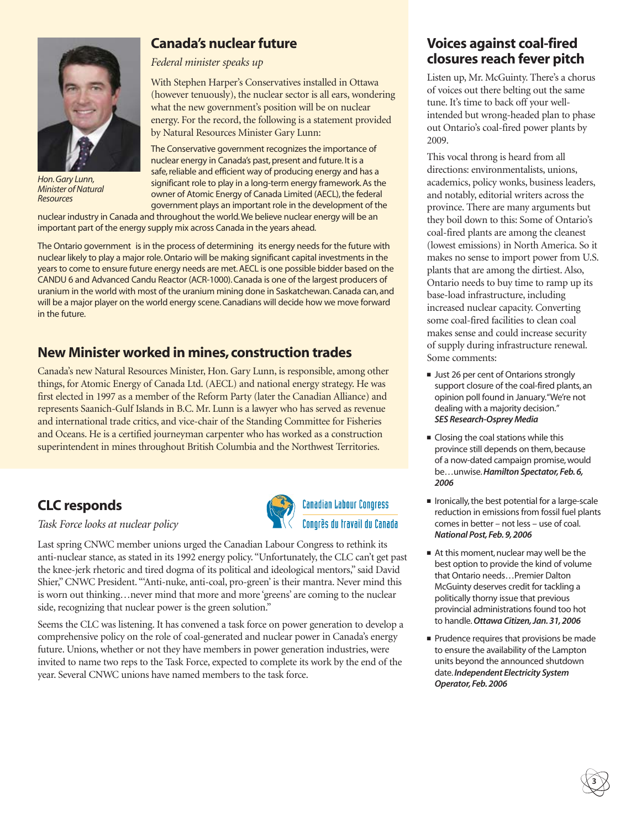

*Hon.Gary Lunn, Minister of Natural Resources*

#### **Canada's nuclear future**

*Federal minister speaks up*

With Stephen Harper's Conservatives installed in Ottawa (however tenuously), the nuclear sector is all ears, wondering what the new government's position will be on nuclear energy. For the record, the following is a statement provided by Natural Resources Minister Gary Lunn:

The Conservative government recognizes the importance of nuclear energy in Canada's past, present and future. It is a safe, reliable and efficient way of producing energy and has a significant role to play in a long-term energy framework. As the owner of Atomic Energy of Canada Limited (AECL), the federal government plays an important role in the development of the

nuclear industry in Canada and throughout the world.We believe nuclear energy will be an important part of the energy supply mix across Canada in the years ahead.

The Ontario government is in the process of determining its energy needs for the future with nuclear likely to play a major role. Ontario will be making significant capital investments in the years to come to ensure future energy needs are met. AECL is one possible bidder based on the CANDU 6 and Advanced Candu Reactor (ACR-1000). Canada is one of the largest producers of uranium in the world with most of the uranium mining done in Saskatchewan. Canada can, and will be a major player on the world energy scene. Canadians will decide how we move forward in the future.

#### **New Minister worked in mines, construction trades**

Canada's new Natural Resources Minister, Hon. Gary Lunn, is responsible, among other things, for Atomic Energy of Canada Ltd. (AECL) and national energy strategy. He was first elected in 1997 as a member of the Reform Party (later the Canadian Alliance) and represents Saanich-Gulf Islands in B.C. Mr. Lunn is a lawyer who has served as revenue and international trade critics, and vice-chair of the Standing Committee for Fisheries and Oceans. He is a certified journeyman carpenter who has worked as a construction superintendent in mines throughout British Columbia and the Northwest Territories.

#### **CLC responds**

#### *Task Force looks at nuclear policy*



**Canadian Labour Congress** Congrès du travail du Canada

Seems the CLC was listening. It has convened a task force on power generation to develop a comprehensive policy on the role of coal-generated and nuclear power in Canada's energy future. Unions, whether or not they have members in power generation industries, were invited to name two reps to the Task Force, expected to complete its work by the end of the year. Several CNWC unions have named members to the task force.

#### **Voices against coal-fired closures reach fever pitch**

Listen up, Mr. McGuinty. There's a chorus of voices out there belting out the same tune. It's time to back off your wellintended but wrong-headed plan to phase out Ontario's coal-fired power plants by 2009.

This vocal throng is heard from all directions: environmentalists, unions, academics, policy wonks, business leaders, and notably, editorial writers across the province. There are many arguments but they boil down to this: Some of Ontario's coal-fired plants are among the cleanest (lowest emissions) in North America. So it makes no sense to import power from U.S. plants that are among the dirtiest. Also, Ontario needs to buy time to ramp up its base-load infrastructure, including increased nuclear capacity. Converting some coal-fired facilities to clean coal makes sense and could increase security of supply during infrastructure renewal. Some comments:

- Just 26 per cent of Ontarions strongly support closure of the coal-fired plants, an opinion poll found in January."We're not dealing with a majority decision." *SES Research-Osprey Media*
- Closing the coal stations while this province still depends on them, because of a now-dated campaign promise, would be…unwise.*Hamilton Spectator, Feb. 6, 2006*
- Ironically, the best potential for a large-scale reduction in emissions from fossil fuel plants comes in better – not less – use of coal. *National Post, Feb. 9, 2006*
- At this moment, nuclear may well be the best option to provide the kind of volume that Ontario needs…Premier Dalton McGuinty deserves credit for tackling a politically thorny issue that previous provincial administrations found too hot to handle.*Ottawa Citizen, Jan. 31, 2006*
- Prudence requires that provisions be made to ensure the availability of the Lampton units beyond the announced shutdown date.*Independent Electricity System Operator, Feb. 2006*